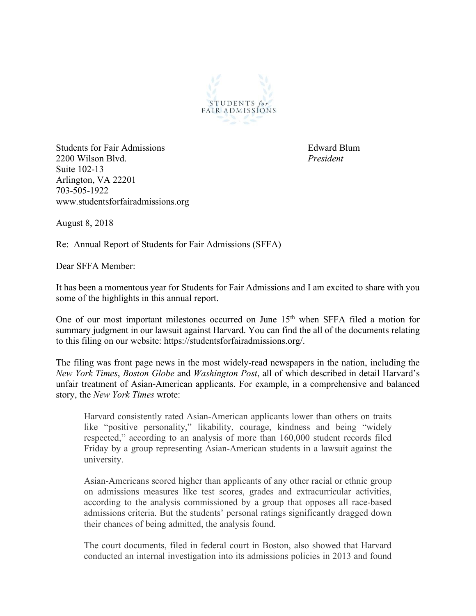

Students for Fair Admissions **Edward Blum** 2200 Wilson Blvd. *President* Suite 102-13 Arlington, VA 22201 703-505-1922 www.studentsforfairadmissions.org

August 8, 2018

Re: Annual Report of Students for Fair Admissions (SFFA)

Dear SFFA Member:

It has been a momentous year for Students for Fair Admissions and I am excited to share with you some of the highlights in this annual report.

One of our most important milestones occurred on June 15<sup>th</sup> when SFFA filed a motion for summary judgment in our lawsuit against Harvard. You can find the all of the documents relating to this filing on our website: https://studentsforfairadmissions.org/.

The filing was front page news in the most widely-read newspapers in the nation, including the *New York Times*, *Boston Globe* and *Washington Post*, all of which described in detail Harvard's unfair treatment of Asian-American applicants. For example, in a comprehensive and balanced story, the *New York Times* wrote:

Harvard consistently rated Asian-American applicants lower than others on traits like "positive personality," likability, courage, kindness and being "widely respected," according to an analysis of more than 160,000 student records filed Friday by a group representing Asian-American students in a lawsuit against the university.

Asian-Americans scored higher than applicants of any other racial or ethnic group on admissions measures like test scores, grades and extracurricular activities, according to the analysis commissioned by a group that opposes all race-based admissions criteria. But the students' personal ratings significantly dragged down their chances of being admitted, the analysis found.

The court documents, filed in federal court in Boston, also showed that Harvard conducted an internal investigation into its admissions policies in 2013 and found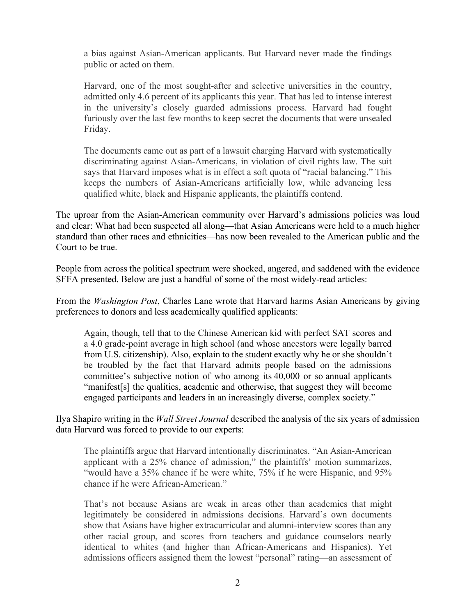a bias against Asian-American applicants. But Harvard never made the findings public or acted on them.

Harvard, one of the most sought-after and selective universities in the country, admitted only 4.6 percent of its applicants this year. That has led to intense interest in the university's closely guarded admissions process. Harvard had fought furiously over the last few months to keep secret the documents that were unsealed Friday.

The documents came out as part of a lawsuit charging Harvard with systematically discriminating against Asian-Americans, in violation of civil rights law. The suit says that Harvard imposes what is in effect a soft quota of "racial balancing." This keeps the numbers of Asian-Americans artificially low, while advancing less qualified white, black and Hispanic applicants, the plaintiffs contend.

The uproar from the Asian-American community over Harvard's admissions policies was loud and clear: What had been suspected all along—that Asian Americans were held to a much higher standard than other races and ethnicities—has now been revealed to the American public and the Court to be true.

People from across the political spectrum were shocked, angered, and saddened with the evidence SFFA presented. Below are just a handful of some of the most widely-read articles:

From the *Washington Post*, Charles Lane wrote that Harvard harms Asian Americans by giving preferences to donors and less academically qualified applicants:

Again, though, tell that to the Chinese American kid with perfect SAT scores and a 4.0 grade-point average in high school (and whose ancestors were legally barred from U.S. citizenship). Also, explain to the student exactly why he or she shouldn't be troubled by the fact that Harvard admits people based on the admissions committee's subjective notion of who among its 40,000 or so annual applicants "manifest[s] the qualities, academic and otherwise, that suggest they will become engaged participants and leaders in an increasingly diverse, complex society."

Ilya Shapiro writing in the *Wall Street Journal* described the analysis of the six years of admission data Harvard was forced to provide to our experts:

The plaintiffs argue that Harvard intentionally discriminates. "An Asian-American applicant with a 25% chance of admission," the plaintiffs' motion summarizes, "would have a 35% chance if he were white, 75% if he were Hispanic, and 95% chance if he were African-American."

That's not because Asians are weak in areas other than academics that might legitimately be considered in admissions decisions. Harvard's own documents show that Asians have higher extracurricular and alumni-interview scores than any other racial group, and scores from teachers and guidance counselors nearly identical to whites (and higher than African-Americans and Hispanics). Yet admissions officers assigned them the lowest "personal" rating—an assessment of